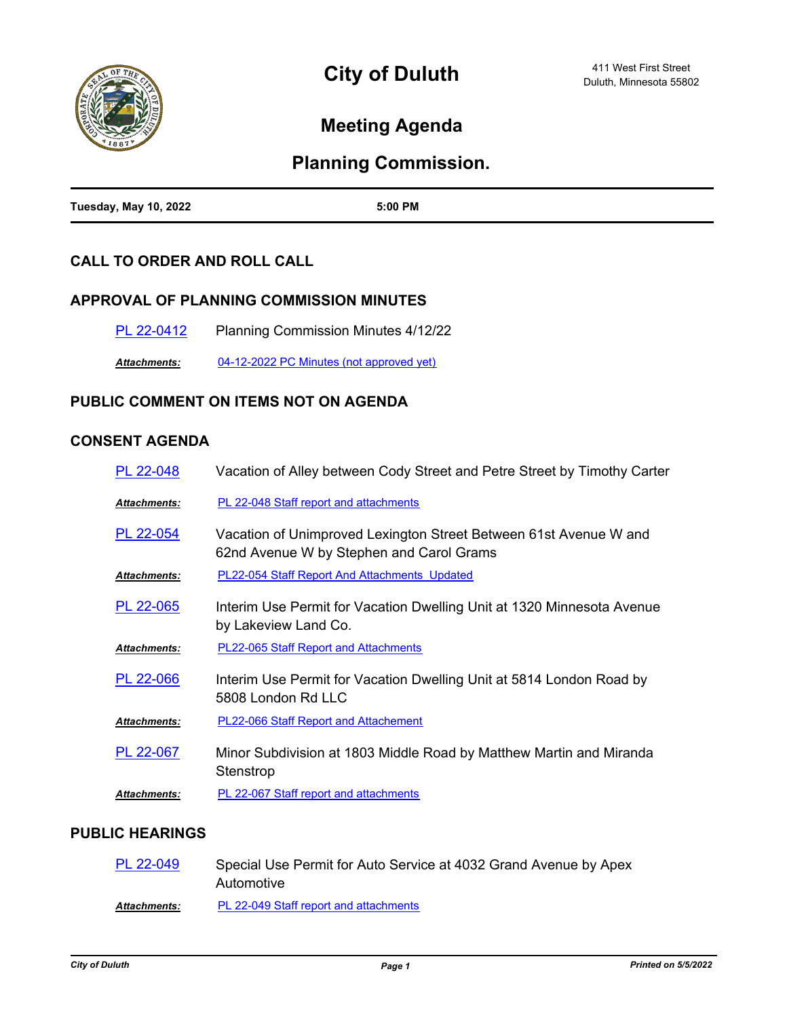

# **Meeting Agenda**

# **Planning Commission.**

| <b>Tuesday, May 10, 2022</b> | 5:00 PM<br>. |
|------------------------------|--------------|

### **CALL TO ORDER AND ROLL CALL**

#### **APPROVAL OF PLANNING COMMISSION MINUTES**

| PL 22-0412 | <b>Planning Commission Minutes 4/12/22</b> |
|------------|--------------------------------------------|
|            |                                            |

*Attachments:* [04-12-2022 PC Minutes \(not approved yet\)](http://duluth-mn.legistar.com/gateway.aspx?M=F&ID=82221bc3-d640-4dde-bc74-440fab646069.pdf)

#### **PUBLIC COMMENT ON ITEMS NOT ON AGENDA**

## **CONSENT AGENDA**

| PL 22-048            | Vacation of Alley between Cody Street and Petre Street by Timothy Carter                                      |
|----------------------|---------------------------------------------------------------------------------------------------------------|
| Attachments:         | PL 22-048 Staff report and attachments                                                                        |
| PL 22-054            | Vacation of Unimproved Lexington Street Between 61st Avenue W and<br>62nd Avenue W by Stephen and Carol Grams |
| Attachments:         | PL22-054 Staff Report And Attachments Updated                                                                 |
| PL 22-065            | Interim Use Permit for Vacation Dwelling Unit at 1320 Minnesota Avenue<br>by Lakeview Land Co.                |
| Attachments:         | <b>PL22-065 Staff Report and Attachments</b>                                                                  |
| PL 22-066            | Interim Use Permit for Vacation Dwelling Unit at 5814 London Road by<br>5808 London Rd LLC                    |
| Attachments:         | PL22-066 Staff Report and Attachement                                                                         |
| PL 22-067            | Minor Subdivision at 1803 Middle Road by Matthew Martin and Miranda<br>Stenstrop                              |
| <u> Attachments:</u> | PL 22-067 Staff report and attachments                                                                        |
|                      |                                                                                                               |

#### **PUBLIC HEARINGS**

| PL 22-049           | Special Use Permit for Auto Service at 4032 Grand Avenue by Apex<br>Automotive |
|---------------------|--------------------------------------------------------------------------------|
| <b>Attachments:</b> | PL 22-049 Staff report and attachments                                         |